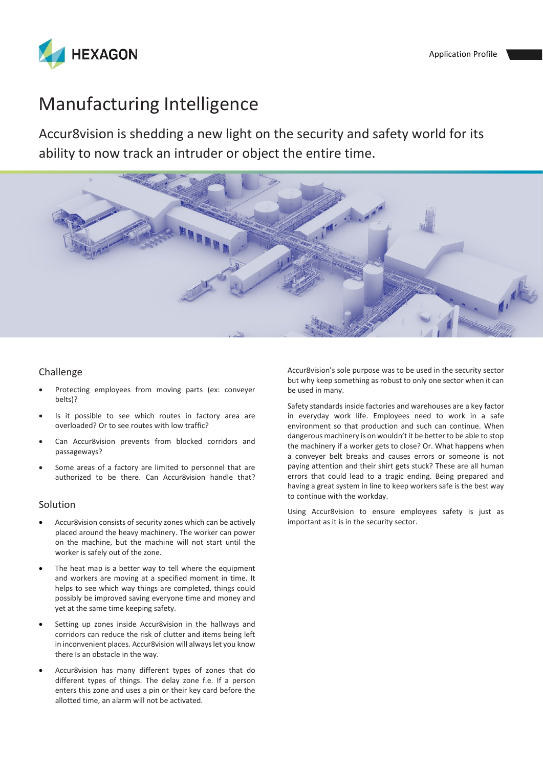

# Manufacturing Intelligence

Accur8vision is shedding a new light on the security and safety world for its ability to now track an intruder or object the entire time.



#### Challenge

- Protecting employees from moving parts (ex: conveyer belts)?
- Is it possible to see which routes in factory area are overloaded? Or to see routes with low traffic?
- Can Accur8vision prevents from blocked corridors and passageways?
- Some areas of a factory are limited to personnel that are authorized to be there. Can Accur8vision handle that?

#### Solution

- Accur8vision consists of security zones which can be actively placed around the heavy machinery. The worker can power on the machine, but the machine will not start until the worker is safely out of the zone.
- The heat map is a better way to tell where the equipment and workers are moving at a specified moment in time. It helps to see which way things are completed, things could possibly be improved saving everyone time and money and yet at the same time keeping safety.
- Setting up zones inside Accur8vision in the hallways and corridors can reduce the risk of clutter and items being left in inconvenient places. Accur8vision will always let you know there Is an obstacle in the way.
- Accur8vision has many different types of zones that do different types of things. The delay zone f.e. If a person enters this zone and uses a pin or their key card before the allotted time, an alarm will not be activated.

Accur8vision's sole purpose was to be used in the security sector but why keep something as robust to only one sector when it can be used in many.

Safety standards inside factories and warehouses are a key factor in everyday work life. Employees need to work in a safe environment so that production and such can continue. When dangerous machinery is on wouldn't it be better to be able to stop the machinery if a worker gets to close? Or. What happens when a conveyer belt breaks and causes errors or someone is not paying attention and their shirt gets stuck? These are all human errors that could lead to a tragic ending. Being prepared and having a great system in line to keep workers safe is the best way to continue with the workday.

Using Accur8vision to ensure employees safety is just as important as it is in the security sector.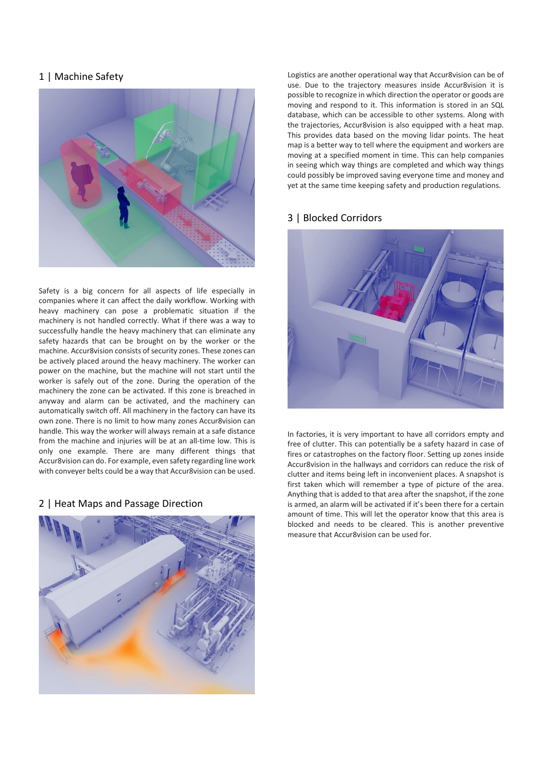## 1 | Machine Safety



Safety is a big concern for all aspects of life especially in companies where it can affect the daily workflow. Working with heavy machinery can pose a problematic situation if the machinery is not handled correctly. What if there was a way to successfully handle the heavy machinery that can eliminate any safety hazards that can be brought on by the worker or the machine. Accur8vision consists of security zones. These zones can be actively placed around the heavy machinery. The worker can power on the machine, but the machine will not start until the worker is safely out of the zone. During the operation of the machinery the zone can be activated. If this zone is breached in anyway and alarm can be activated, and the machinery can automatically switch off. All machinery in the factory can have its own zone. There is no limit to how many zones Accur8vision can handle. This way the worker will always remain at a safe distance from the machine and injuries will be at an all-time low. This is only one example. There are many different things that Accur8vision can do. For example, even safety regarding line work with conveyer belts could be a way that Accur8vision can be used.

### 2 | Heat Maps and Passage Direction



Logistics are another operational way that Accur8vision can be of use. Due to the trajectory measures inside Accur8vision it is possible to recognize in which direction the operator or goods are moving and respond to it. This information is stored in an SQL database, which can be accessible to other systems. Along with the trajectories, Accur8vision is also equipped with a heat map. This provides data based on the moving lidar points. The heat map is a better way to tell where the equipment and workers are moving at a specified moment in time. This can help companies in seeing which way things are completed and which way things could possibly be improved saving everyone time and money and yet at the same time keeping safety and production regulations.

## 3 | Blocked Corridors



In factories, it is very important to have all corridors empty and free of clutter. This can potentially be a safety hazard in case of fires or catastrophes on the factory floor. Setting up zones inside Accur8vision in the hallways and corridors can reduce the risk of clutter and items being left in inconvenient places. A snapshot is first taken which will remember a type of picture of the area. Anything that is added to that area after the snapshot, if the zone is armed, an alarm will be activated if it's been there for a certain amount of time. This will let the operator know that this area is blocked and needs to be cleared. This is another preventive measure that Accur8vision can be used for.